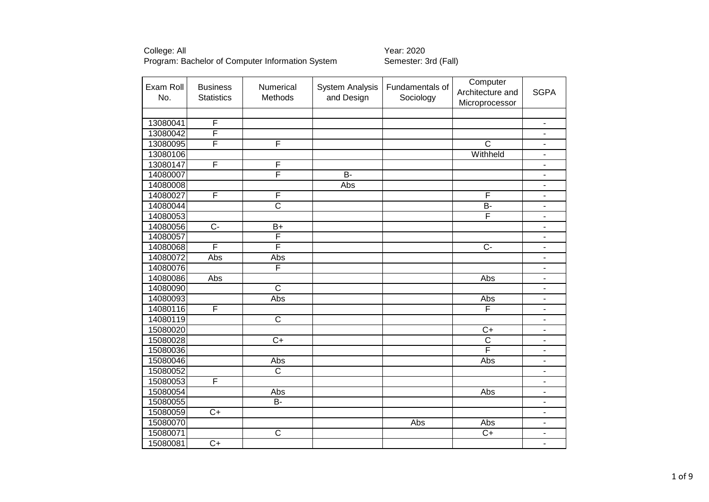| Exam Roll<br>No. | <b>Business</b><br><b>Statistics</b> | Numerical<br>Methods    | <b>System Analysis</b><br>and Design | Fundamentals of<br>Sociology | Computer<br>Architecture and<br>Microprocessor | <b>SGPA</b>                  |
|------------------|--------------------------------------|-------------------------|--------------------------------------|------------------------------|------------------------------------------------|------------------------------|
|                  |                                      |                         |                                      |                              |                                                |                              |
| 13080041         | F                                    |                         |                                      |                              |                                                | $\blacksquare$               |
| 13080042         | F                                    |                         |                                      |                              |                                                | $\qquad \qquad \blacksquare$ |
| 13080095         | $\overline{\mathsf{F}}$              | F                       |                                      |                              | $\overline{C}$                                 | $\qquad \qquad \blacksquare$ |
| 13080106         |                                      |                         |                                      |                              | Withheld                                       | $\blacksquare$               |
| 13080147         | F                                    | F                       |                                      |                              |                                                | $\overline{\phantom{a}}$     |
| 14080007         |                                      | F                       | $\overline{B}$                       |                              |                                                | $\overline{\phantom{a}}$     |
| 14080008         |                                      |                         | Abs                                  |                              |                                                | $\overline{\phantom{a}}$     |
| 14080027         | F                                    | F                       |                                      |                              | F                                              | ۰                            |
| 14080044         |                                      | $\overline{\text{c}}$   |                                      |                              | $\overline{B}$                                 | $\overline{\phantom{a}}$     |
| 14080053         |                                      |                         |                                      |                              | $\overline{\mathsf{F}}$                        | $\blacksquare$               |
| 14080056         | $\overline{C}$                       | $B+$                    |                                      |                              |                                                | $\overline{\phantom{m}}$     |
| 14080057         |                                      | $\overline{\mathsf{F}}$ |                                      |                              |                                                | $\qquad \qquad \blacksquare$ |
| 14080068         | F                                    | $\overline{\mathsf{F}}$ |                                      |                              | $C -$                                          | $\overline{\phantom{a}}$     |
| 14080072         | Abs                                  | Abs                     |                                      |                              |                                                | $\overline{\phantom{a}}$     |
| 14080076         |                                      | F                       |                                      |                              |                                                | $\qquad \qquad \blacksquare$ |
| 14080086         | Abs                                  |                         |                                      |                              | Abs                                            | $\blacksquare$               |
| 14080090         |                                      | $\overline{\text{c}}$   |                                      |                              |                                                | $\blacksquare$               |
| 14080093         |                                      | Abs                     |                                      |                              | Abs                                            | $\blacksquare$               |
| 14080116         | F                                    |                         |                                      |                              | F                                              | $\qquad \qquad \blacksquare$ |
| 14080119         |                                      | $\overline{\text{c}}$   |                                      |                              |                                                | $\blacksquare$               |
| 15080020         |                                      |                         |                                      |                              | $C+$                                           | $\blacksquare$               |
| 15080028         |                                      | $C+$                    |                                      |                              | $\overline{\text{c}}$                          | $\overline{\phantom{0}}$     |
| 15080036         |                                      |                         |                                      |                              | F                                              | $\blacksquare$               |
| 15080046         |                                      | Abs                     |                                      |                              | Abs                                            | $\overline{\phantom{m}}$     |
| 15080052         |                                      | $\overline{\text{c}}$   |                                      |                              |                                                | $\overline{\phantom{a}}$     |
| 15080053         | F                                    |                         |                                      |                              |                                                | $\blacksquare$               |
| 15080054         |                                      | Abs                     |                                      |                              | Abs                                            | $\qquad \qquad \blacksquare$ |
| 15080055         |                                      | B-                      |                                      |                              |                                                | $\blacksquare$               |
| 15080059         | $\overline{C}$                       |                         |                                      |                              |                                                | $\blacksquare$               |
| 15080070         |                                      |                         |                                      | Abs                          | Abs                                            | $\overline{\phantom{m}}$     |
| 15080071         |                                      | $\overline{\text{c}}$   |                                      |                              | $C+$                                           | $\blacksquare$               |
| 15080081         | $\overline{C+}$                      |                         |                                      |                              |                                                | $\overline{\phantom{0}}$     |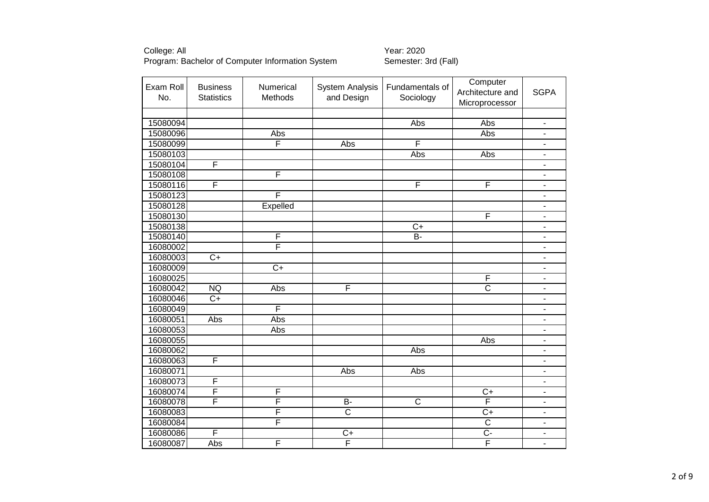| Exam Roll | <b>Business</b>         | Numerical               | <b>System Analysis</b> | Fundamentals of       | Computer                |                          |
|-----------|-------------------------|-------------------------|------------------------|-----------------------|-------------------------|--------------------------|
| No.       | <b>Statistics</b>       | Methods                 | and Design             | Sociology             | Architecture and        | <b>SGPA</b>              |
|           |                         |                         |                        |                       | Microprocessor          |                          |
|           |                         |                         |                        |                       |                         |                          |
| 15080094  |                         |                         |                        | Abs                   | Abs                     | $\frac{1}{2}$            |
| 15080096  |                         | Abs                     |                        |                       | Abs                     | $\overline{\phantom{a}}$ |
| 15080099  |                         | $\overline{\mathsf{F}}$ | Abs                    | F                     |                         | $\blacksquare$           |
| 15080103  |                         |                         |                        | Abs                   | Abs                     | $\overline{\phantom{a}}$ |
| 15080104  | F                       |                         |                        |                       |                         | $\blacksquare$           |
| 15080108  |                         | F                       |                        |                       |                         | $\overline{\phantom{0}}$ |
| 15080116  | F                       |                         |                        | F                     | $\overline{\mathsf{F}}$ | ٠                        |
| 15080123  |                         | F                       |                        |                       |                         | $\overline{\phantom{a}}$ |
| 15080128  |                         | Expelled                |                        |                       |                         | $\blacksquare$           |
| 15080130  |                         |                         |                        |                       | F                       | $\overline{\phantom{a}}$ |
| 15080138  |                         |                         |                        | $\overline{C}$        |                         | $\blacksquare$           |
| 15080140  |                         | F                       |                        | $B -$                 |                         | $\overline{\phantom{a}}$ |
| 16080002  |                         | $\overline{\mathsf{F}}$ |                        |                       |                         | $\frac{1}{2}$            |
| 16080003  | $\overline{C}$          |                         |                        |                       |                         | ۰                        |
| 16080009  |                         | $\overline{C}$          |                        |                       |                         | $\overline{\phantom{0}}$ |
| 16080025  |                         |                         |                        |                       | $\mathsf F$             | $\blacksquare$           |
| 16080042  | <b>NQ</b>               | Abs                     | F                      |                       | $\overline{\text{c}}$   | $\overline{\phantom{0}}$ |
| 16080046  | $C+$                    |                         |                        |                       |                         | $\blacksquare$           |
| 16080049  |                         | F                       |                        |                       |                         | $\overline{\phantom{0}}$ |
| 16080051  | Abs                     | Abs                     |                        |                       |                         | $\blacksquare$           |
| 16080053  |                         | Abs                     |                        |                       |                         |                          |
| 16080055  |                         |                         |                        |                       | Abs                     | $\overline{\phantom{a}}$ |
| 16080062  |                         |                         |                        | Abs                   |                         |                          |
| 16080063  | $\overline{\mathsf{F}}$ |                         |                        |                       |                         | $\blacksquare$           |
| 16080071  |                         |                         | Abs                    | Abs                   |                         | $\blacksquare$           |
| 16080073  | F                       |                         |                        |                       |                         | $\blacksquare$           |
| 16080074  | F                       | F                       |                        |                       | $C+$                    | $\overline{\phantom{0}}$ |
| 16080078  | F                       | F                       | B-                     | $\overline{\text{c}}$ | $\overline{F}$          | $\overline{\phantom{a}}$ |
| 16080083  |                         | F                       | $\overline{\text{c}}$  |                       | $\overline{C}$          | $\blacksquare$           |
| 16080084  |                         | F                       |                        |                       | $\overline{\text{c}}$   | $\blacksquare$           |
| 16080086  | $\overline{F}$          |                         | $C+$                   |                       | $\overline{C}$          | ÷.                       |
| 16080087  | Abs                     | F                       | F                      |                       | F                       | $\overline{a}$           |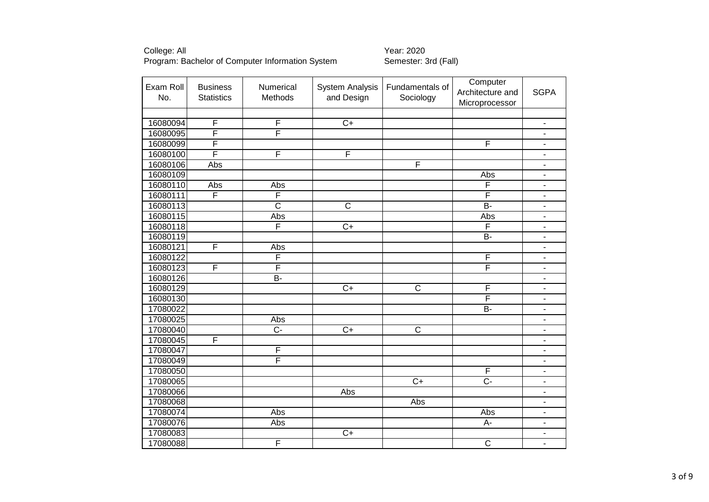| Exam Roll<br>No. | <b>Business</b><br><b>Statistics</b> | Numerical<br>Methods  | <b>System Analysis</b><br>and Design | Fundamentals of<br>Sociology | Computer<br>Architecture and | <b>SGPA</b>                  |
|------------------|--------------------------------------|-----------------------|--------------------------------------|------------------------------|------------------------------|------------------------------|
|                  |                                      |                       |                                      |                              | Microprocessor               |                              |
|                  |                                      |                       |                                      |                              |                              |                              |
| 16080094         | $\overline{F}$                       | F                     | $\overline{C+}$                      |                              |                              | $\blacksquare$               |
| 16080095         | F                                    | F                     |                                      |                              |                              | $\overline{\phantom{m}}$     |
| 16080099         | F                                    |                       |                                      |                              | F                            | $\frac{1}{2}$                |
| 16080100         | $\overline{\mathsf{F}}$              | F                     | F                                    |                              |                              | $\qquad \qquad \blacksquare$ |
| 16080106         | Abs                                  |                       |                                      | F                            |                              | $\overline{\phantom{a}}$     |
| 16080109         |                                      |                       |                                      |                              | Abs                          | $\blacksquare$               |
| 16080110         | Abs                                  | Abs                   |                                      |                              | $\overline{\mathsf{F}}$      | $\blacksquare$               |
| 16080111         | F                                    | F                     |                                      |                              | F                            | $\overline{\phantom{m}}$     |
| 16080113         |                                      | $\overline{\text{c}}$ | $\mathsf C$                          |                              | <b>B-</b>                    | $\blacksquare$               |
| 16080115         |                                      | Abs                   |                                      |                              | Abs                          | $\overline{\phantom{a}}$     |
| 16080118         |                                      | F                     | $\overline{C+}$                      |                              | F                            | $\overline{\phantom{a}}$     |
| 16080119         |                                      |                       |                                      |                              | $\overline{B}$               | $\blacksquare$               |
| 16080121         | $\mathsf F$                          | Abs                   |                                      |                              |                              | $\blacksquare$               |
| 16080122         |                                      | F                     |                                      |                              | F                            | $\overline{\phantom{a}}$     |
| 16080123         | F                                    | F                     |                                      |                              | $\overline{\mathsf{F}}$      | $\blacksquare$               |
| 16080126         |                                      | $B -$                 |                                      |                              |                              | $\blacksquare$               |
| 16080129         |                                      |                       | $\overline{C+}$                      | $\overline{\mathsf{C}}$      | F                            | $\blacksquare$               |
| 16080130         |                                      |                       |                                      |                              | F                            | $\overline{\phantom{a}}$     |
| 17080022         |                                      |                       |                                      |                              | $\overline{B}$               | $\overline{a}$               |
| 17080025         |                                      | Abs                   |                                      |                              |                              | $\qquad \qquad \blacksquare$ |
| 17080040         |                                      | C-                    | $\overline{C+}$                      | $\overline{\text{c}}$        |                              |                              |
| 17080045         | F                                    |                       |                                      |                              |                              | $\overline{a}$               |
| 17080047         |                                      | F                     |                                      |                              |                              | L.                           |
| 17080049         |                                      | F                     |                                      |                              |                              | $\blacksquare$               |
| 17080050         |                                      |                       |                                      |                              | F                            | $\qquad \qquad \blacksquare$ |
| 17080065         |                                      |                       |                                      | $\overline{C+}$              | $\overline{C}$ -             | $\blacksquare$               |
| 17080066         |                                      |                       | Abs                                  |                              |                              | $\overline{\phantom{a}}$     |
| 17080068         |                                      |                       |                                      | Abs                          |                              | $\overline{\phantom{0}}$     |
| 17080074         |                                      | Abs                   |                                      |                              | <b>Abs</b>                   | $\blacksquare$               |
| 17080076         |                                      | Abs                   |                                      |                              | $A-$                         | ÷.                           |
| 17080083         |                                      |                       | $C+$                                 |                              |                              | $\blacksquare$               |
| 17080088         |                                      | F                     |                                      |                              | $\overline{\text{c}}$        | $\overline{a}$               |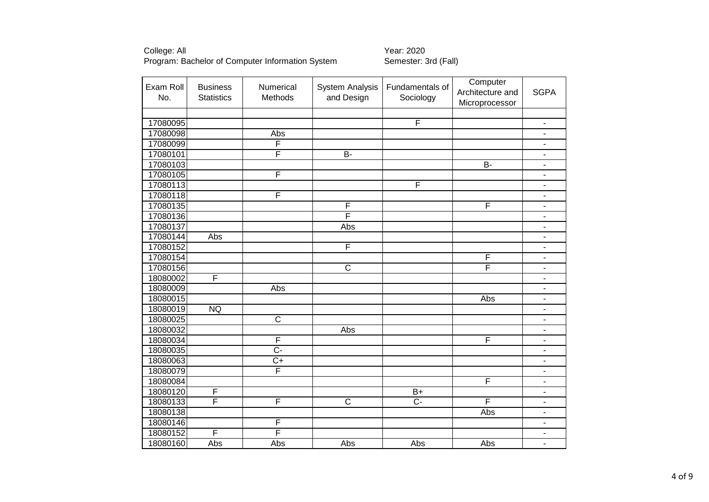College: All<br>Program: Bachelor of Computer Information System Semester: 3rd (Fall) Program: Bachelor of Computer Information System

| Exam Roll | <b>Business</b>   | Numerical             | System Analysis       | Fundamentals of         | Computer<br>Architecture and | <b>SGPA</b>              |
|-----------|-------------------|-----------------------|-----------------------|-------------------------|------------------------------|--------------------------|
| No.       | <b>Statistics</b> | Methods               | and Design            | Sociology               | Microprocessor               |                          |
|           |                   |                       |                       |                         |                              |                          |
| 17080095  |                   |                       |                       | F                       |                              | $\blacksquare$           |
| 17080098  |                   | Abs                   |                       |                         |                              | $\overline{\phantom{a}}$ |
| 17080099  |                   | F                     |                       |                         |                              | $\overline{\phantom{a}}$ |
| 17080101  |                   | F                     | <b>B-</b>             |                         |                              | $\blacksquare$           |
| 17080103  |                   |                       |                       |                         | $\overline{B}$               | $\blacksquare$           |
| 17080105  |                   | F                     |                       |                         |                              | $\blacksquare$           |
| 17080113  |                   |                       |                       | $\overline{\mathsf{F}}$ |                              | $\blacksquare$           |
| 17080118  |                   | F                     |                       |                         |                              | $\overline{\phantom{a}}$ |
| 17080135  |                   |                       | F                     |                         | F                            | $\blacksquare$           |
| 17080136  |                   |                       | F                     |                         |                              | $\blacksquare$           |
| 17080137  |                   |                       | Abs                   |                         |                              | $\blacksquare$           |
| 17080144  | Abs               |                       |                       |                         |                              | $\overline{\phantom{m}}$ |
| 17080152  |                   |                       | F                     |                         |                              | $\overline{\phantom{a}}$ |
| 17080154  |                   |                       |                       |                         | F                            | $\overline{\phantom{a}}$ |
| 17080156  |                   |                       | $\overline{\text{c}}$ |                         | F                            | $\overline{\phantom{a}}$ |
| 18080002  | $\overline{F}$    |                       |                       |                         |                              | $\overline{\phantom{a}}$ |
| 18080009  |                   | Abs                   |                       |                         |                              | $\overline{\phantom{a}}$ |
| 18080015  |                   |                       |                       |                         | Abs                          | $\overline{\phantom{m}}$ |
| 18080019  | NQ                |                       |                       |                         |                              | $\overline{\phantom{a}}$ |
| 18080025  |                   | $\overline{\text{c}}$ |                       |                         |                              |                          |
| 18080032  |                   |                       | Abs                   |                         |                              |                          |
| 18080034  |                   | F                     |                       |                         | F                            | $\overline{\phantom{0}}$ |
| 18080035  |                   | $\overline{C}$        |                       |                         |                              | $\overline{\phantom{0}}$ |
| 18080063  |                   | $\overline{C}$        |                       |                         |                              | $\overline{\phantom{a}}$ |
| 18080079  |                   | F                     |                       |                         |                              | $\overline{\phantom{a}}$ |
| 18080084  |                   |                       |                       |                         | F                            | $\blacksquare$           |
| 18080120  | $\overline{F}$    |                       |                       | $B+$                    |                              | $\overline{\phantom{a}}$ |
| 18080133  | F                 | F                     | C                     | $C -$                   | F                            | $\overline{\phantom{a}}$ |
| 18080138  |                   |                       |                       |                         | Abs                          | $\overline{\phantom{a}}$ |
| 18080146  |                   | F                     |                       |                         |                              | $\overline{\phantom{m}}$ |
| 18080152  | F                 | F                     |                       |                         |                              | $\overline{\phantom{m}}$ |
| 18080160  | Abs               | Abs                   | Abs                   | Abs                     | Abs                          | $\blacksquare$           |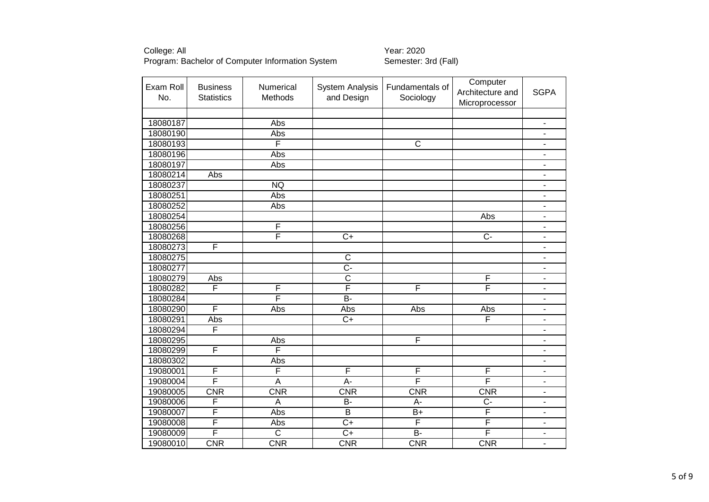| Exam Roll | <b>Business</b>         | Numerical               | <b>System Analysis</b>          | Fundamentals of       | Computer<br>Architecture and | <b>SGPA</b>              |
|-----------|-------------------------|-------------------------|---------------------------------|-----------------------|------------------------------|--------------------------|
| No.       | <b>Statistics</b>       | Methods                 | and Design                      | Sociology             | Microprocessor               |                          |
|           |                         |                         |                                 |                       |                              |                          |
| 18080187  |                         | Abs                     |                                 |                       |                              | $\frac{1}{2}$            |
| 18080190  |                         | Abs                     |                                 |                       |                              | $\blacksquare$           |
| 18080193  |                         | F                       |                                 | $\overline{\text{c}}$ |                              | $\overline{\phantom{a}}$ |
| 18080196  |                         | Abs                     |                                 |                       |                              | $\overline{\phantom{0}}$ |
| 18080197  |                         | Abs                     |                                 |                       |                              | $\overline{\phantom{a}}$ |
| 18080214  | Abs                     |                         |                                 |                       |                              | $\blacksquare$           |
| 18080237  |                         | <b>NQ</b>               |                                 |                       |                              | $\overline{\phantom{0}}$ |
| 18080251  |                         | Abs                     |                                 |                       |                              | $\overline{\phantom{a}}$ |
| 18080252  |                         | Abs                     |                                 |                       |                              | $\blacksquare$           |
| 18080254  |                         |                         |                                 |                       | Abs                          | $\blacksquare$           |
| 18080256  |                         | F                       |                                 |                       |                              | $\blacksquare$           |
| 18080268  |                         | F                       | $\overline{C+}$                 |                       | $\overline{C}$               | $\overline{\phantom{a}}$ |
| 18080273  | $\mathsf F$             |                         |                                 |                       |                              | ۰                        |
| 18080275  |                         |                         | $\overline{\text{c}}$           |                       |                              | $\overline{\phantom{0}}$ |
| 18080277  |                         |                         | $\overline{C}$ -                |                       |                              | $\overline{\phantom{0}}$ |
| 18080279  | Abs                     |                         | $\overline{\text{c}}$           |                       | F                            | $\blacksquare$           |
| 18080282  | F                       | F                       | F                               | F                     | F                            | $\overline{\phantom{0}}$ |
| 18080284  |                         | F                       | $\overline{B}$                  |                       |                              |                          |
| 18080290  | $\overline{\mathsf{F}}$ | $\overline{Abs}$        | Abs                             | Abs                   | Abs                          | $\blacksquare$           |
| 18080291  | Abs                     |                         | $\overline{C+}$                 |                       | F                            |                          |
| 18080294  | F                       |                         |                                 |                       |                              |                          |
| 18080295  |                         | Abs                     |                                 | F                     |                              | $\blacksquare$           |
| 18080299  | F                       | $\overline{\mathsf{F}}$ |                                 |                       |                              | $\blacksquare$           |
| 18080302  |                         | Abs                     |                                 |                       |                              | $\overline{\phantom{m}}$ |
| 19080001  | $\overline{\mathsf{F}}$ | F                       | F                               | F                     | F                            | $\overline{\phantom{0}}$ |
| 19080004  | F                       | $\overline{A}$          | A-                              | F                     | F                            | $\blacksquare$           |
| 19080005  | CNR                     | CNR                     | $\overline{\text{C}}\text{N}$ R | CNR                   | CNR                          | $\overline{\phantom{0}}$ |
| 19080006  | $\mathsf{F}$            | A                       | B-                              | A-                    | $C -$                        | $\overline{\phantom{0}}$ |
| 19080007  | F                       | Abs                     | $\overline{\mathsf{B}}$         | $\overline{B}$        | F                            | $\overline{\phantom{0}}$ |
| 19080008  | F                       | Abs                     | $\overline{C+}$                 | F                     | F                            | $\overline{\phantom{a}}$ |
| 19080009  | F                       | $\overline{\text{c}}$   | $C+$                            | B-                    | F                            | $\blacksquare$           |
| 19080010  | CNR                     | <b>CNR</b>              | CNR                             | CNR                   | CNR                          | $\overline{\phantom{0}}$ |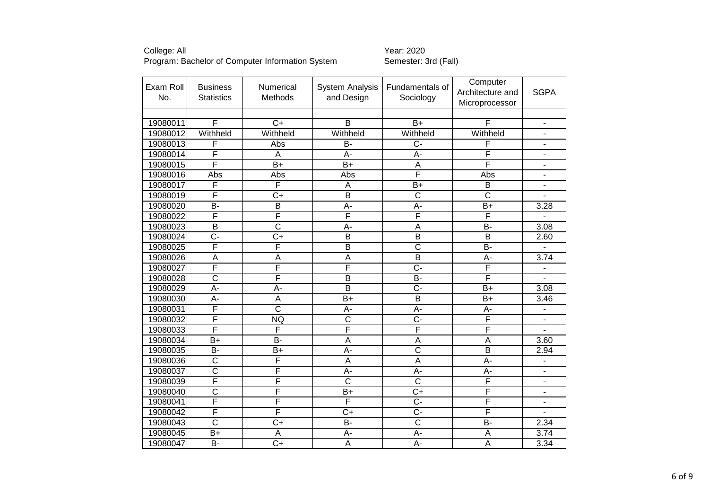| Exam Roll | <b>Business</b>         | <b>Numerical</b>          | <b>System Analysis</b>  | Fundamentals of         | Computer<br>Architecture and | <b>SGPA</b>              |
|-----------|-------------------------|---------------------------|-------------------------|-------------------------|------------------------------|--------------------------|
| No.       | <b>Statistics</b>       | Methods                   | and Design              | Sociology               | Microprocessor               |                          |
|           |                         |                           |                         |                         |                              |                          |
| 19080011  | F                       | $\overline{C}$            | $\overline{B}$          | $\overline{B+}$         | $\overline{F}$               | $\blacksquare$           |
| 19080012  | Withheld                | Withheld                  | Withheld                | Withheld                | Withheld                     | ÷,                       |
| 19080013  | F                       | Abs                       | <b>B-</b>               | $C -$                   | F                            |                          |
| 19080014  | F                       | $\boldsymbol{\mathsf{A}}$ | $A -$                   | A-                      | F                            | $\overline{\phantom{0}}$ |
| 19080015  | F                       | $\overline{B+}$           | $\overline{B+}$         | A                       | F                            | $\blacksquare$           |
| 19080016  | Abs                     | Abs                       | Abs                     | F                       | Abs                          | $\overline{\phantom{m}}$ |
| 19080017  | F                       | F                         | A                       | $B+$                    | B                            | ÷.                       |
| 19080019  | F                       | $\overline{C+}$           | $\overline{\mathsf{B}}$ | $\overline{\text{c}}$   | $\overline{\text{c}}$        |                          |
| 19080020  | $B -$                   | $\overline{B}$            | A-                      | A-                      | $B+$                         | 3.28                     |
| 19080022  | F                       | F                         | F                       | F                       | F                            |                          |
| 19080023  | $\overline{\mathsf{B}}$ | $\overline{\text{c}}$     | $A -$                   | $\overline{A}$          | $B-$                         | 3.08                     |
| 19080024  | C-                      | $C+$                      | B                       | B                       | B                            | 2.60                     |
| 19080025  | F                       | F                         | $\overline{B}$          | $\overline{\text{c}}$   | $\overline{B}$               | ÷,                       |
| 19080026  | $\overline{\mathsf{A}}$ | $\overline{\mathsf{A}}$   | $\overline{\mathsf{A}}$ | $\overline{\mathsf{B}}$ | $A -$                        | 3.74                     |
| 19080027  | F                       | F                         | F                       | C-                      | F                            | $\overline{\phantom{0}}$ |
| 19080028  | $\overline{\text{c}}$   | F                         | $\overline{B}$          | $\overline{B}$          | F                            |                          |
| 19080029  | $A -$                   | $\overline{A}$ -          | $\overline{\mathsf{B}}$ | $\overline{C}$ -        | $B+$                         | 3.08                     |
| 19080030  | $\overline{A}$ -        | $\overline{A}$            | $B+$                    | $\overline{B}$          | $B+$                         | 3.46                     |
| 19080031  | F                       | $\overline{\text{c}}$     | A-                      | A-                      | A-                           |                          |
| 19080032  | F                       | <b>NQ</b>                 | $\overline{\text{c}}$   | $\overline{C}$ -        | F                            |                          |
| 19080033  | F                       | $\overline{\mathsf{F}}$   | F                       | F                       | F                            |                          |
| 19080034  | $B+$                    | $\overline{B}$            | $\overline{A}$          | $\overline{A}$          | A                            | 3.60                     |
| 19080035  | $\overline{B}$          | $\overline{B+}$           | $\overline{A}$          | $\overline{\text{c}}$   | $\overline{\mathsf{B}}$      | 2.94                     |
| 19080036  | $\overline{\text{c}}$   | $\overline{\mathsf{F}}$   | A                       | $\overline{A}$          | A-                           | $\blacksquare$           |
| 19080037  | $\overline{\text{c}}$   | F                         | $A -$                   | $A -$                   | A-                           | $\overline{\phantom{0}}$ |
| 19080039  | F                       | F                         | $\overline{\text{c}}$   | $\overline{\text{c}}$   | F                            | $\blacksquare$           |
| 19080040  | $\overline{\text{c}}$   | $\overline{\mathsf{F}}$   | $B+$                    | $\overline{C+}$         | F                            | $\blacksquare$           |
| 19080041  | F                       | F                         | F                       | C-                      | F                            | $\blacksquare$           |
| 19080042  | F                       | F                         | $\overline{C}$          | Ċ-                      | F                            |                          |
| 19080043  | $\overline{\text{c}}$   | $\overline{C+}$           | $\overline{B}$          | $\overline{\text{c}}$   | $\overline{B}$               | 2.34                     |
| 19080045  | B+                      | $\overline{A}$            | $A -$                   | A-                      | A                            | 3.74                     |
| 19080047  | $\overline{B}$          | $\overline{C+}$           | $\overline{A}$          | $\overline{A}$ -        | $\overline{A}$               | 3.34                     |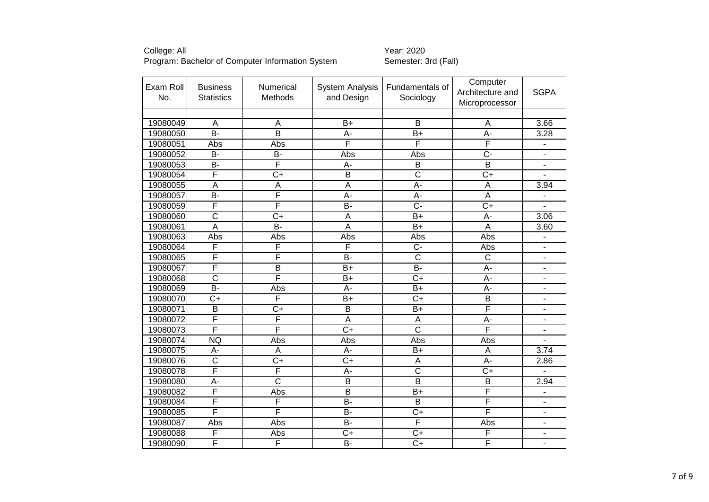| Exam Roll | <b>Business</b>         | Numerical               | <b>System Analysis</b>  | Fundamentals of         | Computer                |                          |
|-----------|-------------------------|-------------------------|-------------------------|-------------------------|-------------------------|--------------------------|
| No.       | <b>Statistics</b>       | Methods                 | and Design              | Sociology               | Architecture and        | <b>SGPA</b>              |
|           |                         |                         |                         |                         | Microprocessor          |                          |
|           |                         |                         |                         |                         |                         |                          |
| 19080049  | A                       | A                       | $B+$                    | B                       | A                       | 3.66                     |
| 19080050  | $B -$                   | $\overline{\mathsf{B}}$ | A-                      | $B+$                    | A-                      | 3.28                     |
| 19080051  | Abs                     | Abs                     | F                       | F                       | F                       | $\blacksquare$           |
| 19080052  | <b>B-</b>               | <b>B-</b>               | Abs                     | Abs                     | $C -$                   |                          |
| 19080053  | $\overline{B}$          | F                       | A-                      | $\overline{B}$          | $\overline{\mathsf{B}}$ | $\blacksquare$           |
| 19080054  | F                       | $\overline{C+}$         | $\overline{\mathsf{B}}$ | $\overline{\text{c}}$   | $\overline{C}$          |                          |
| 19080055  | A                       | $\overline{A}$          | A                       | A-                      | A                       | 3.94                     |
| 19080057  | $\overline{B}$          | F                       | $\overline{A}$ -        | A-                      | $\overline{\mathsf{A}}$ |                          |
| 19080059  | F                       | F                       | $\overline{B}$          | $\overline{C}$ -        | $\overline{C+}$         |                          |
| 19080060  | $\overline{\text{c}}$   | $\overline{C+}$         | $\overline{A}$          | $\overline{B+}$         | A-                      | 3.06                     |
| 19080061  | $\overline{A}$          | $\overline{B}$          | $\overline{A}$          | $\overline{B+}$         | A                       | 3.60                     |
| 19080063  | Abs                     | Abs                     | Abs                     | Abs                     | Abs                     | $\overline{\phantom{a}}$ |
| 19080064  | F                       | F                       | F                       | $C -$                   | Abs                     | ۰                        |
| 19080065  | F                       | F                       | $B -$                   | $\overline{\text{c}}$   | $\overline{\mathsf{C}}$ | $\overline{\phantom{0}}$ |
| 19080067  | F                       | $\overline{B}$          | $B+$                    | <b>B-</b>               | A-                      | $\blacksquare$           |
| 19080068  | $\overline{\text{c}}$   | F                       | $B+$                    | $C+$                    | A-                      | $\overline{\phantom{0}}$ |
| 19080069  | $B -$                   | Abs                     | $\overline{A}$          | $\overline{B+}$         | $\overline{A}$ -        | $\overline{\phantom{0}}$ |
| 19080070  | $C+$                    | F                       | $B+$                    | $C+$                    | $\overline{B}$          | $\blacksquare$           |
| 19080071  | $\overline{B}$          | $\overline{C+}$         | $\overline{\mathsf{B}}$ | $B+$                    | F                       | $\blacksquare$           |
| 19080072  | F                       | F                       | $\overline{A}$          | A                       | A-                      | $\overline{\phantom{0}}$ |
| 19080073  | F                       | F                       | $\overline{C+}$         | $\overline{\text{c}}$   | F                       | ٠                        |
| 19080074  | <b>NQ</b>               | Abs                     | Abs                     | Abs                     | Abs                     |                          |
| 19080075  | А-                      | A                       | $A -$                   | $\overline{B+}$         | A                       | 3.74                     |
| 19080076  | $\overline{\text{c}}$   | $\overline{C+}$         | $\overline{C}$          | A                       | A-                      | 2.86                     |
| 19080078  | $\overline{\mathsf{F}}$ | $\overline{\mathsf{F}}$ | A-                      | $\overline{\text{c}}$   | $\overline{C+}$         |                          |
| 19080080  | $\overline{A}$ -        | $\overline{\text{c}}$   | $\overline{\mathsf{B}}$ | $\overline{\mathsf{B}}$ | $\overline{\mathsf{B}}$ | 2.94                     |
| 19080082  | F                       | Abs                     | $\overline{B}$          | $B+$                    | F                       | $\overline{\phantom{m}}$ |
| 19080084  | F                       | F                       | <b>B-</b>               | $\overline{\mathsf{B}}$ | F                       | $\blacksquare$           |
| 19080085  | F                       | F                       | $B -$                   | $C+$                    | F                       | Ξ.                       |
| 19080087  | Abs                     | Abs                     | $B -$                   | F                       | Abs                     | $\overline{\phantom{0}}$ |
| 19080088  | F                       | Abs                     | $C+$                    | $C+$                    | F                       | $\blacksquare$           |
| 19080090  | F                       | F                       | $B -$                   | $\overline{C+}$         | F                       | $\overline{\phantom{0}}$ |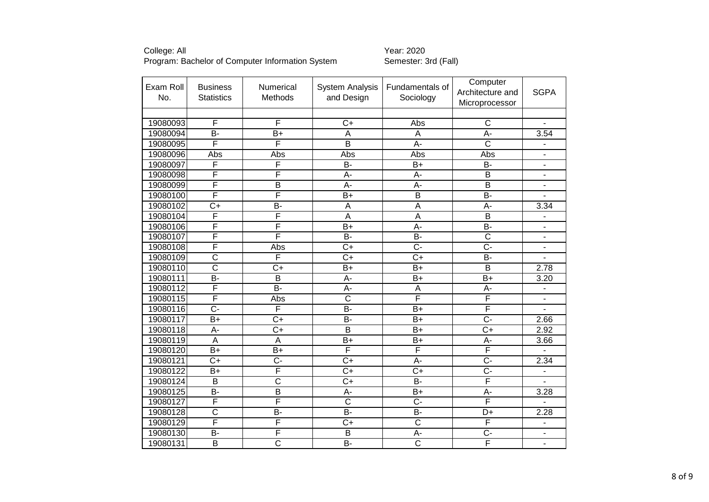| Exam Roll | <b>Business</b>         | Numerical               | <b>System Analysis</b>  | Fundamentals of         | Computer                |                          |
|-----------|-------------------------|-------------------------|-------------------------|-------------------------|-------------------------|--------------------------|
| No.       | <b>Statistics</b>       | Methods                 | and Design              | Sociology               | Architecture and        | <b>SGPA</b>              |
|           |                         |                         |                         |                         | Microprocessor          |                          |
|           |                         |                         |                         |                         |                         |                          |
| 19080093  | $\overline{F}$          | F                       | $C+$                    | Abs                     | $\overline{C}$          | $\blacksquare$           |
| 19080094  | $\overline{B}$          | $\overline{B+}$         | A                       | A                       | A-                      | 3.54                     |
| 19080095  | F                       | $\overline{\mathsf{F}}$ | $\overline{\mathsf{B}}$ | A-                      | $\overline{\text{C}}$   | $\blacksquare$           |
| 19080096  | Abs                     | Abs                     | Abs                     | Abs                     | Abs                     | $\overline{\phantom{0}}$ |
| 19080097  | F                       | F                       | $\overline{B}$          | $B+$                    | B-                      | $\blacksquare$           |
| 19080098  | F                       | F                       | $A -$                   | A-                      | $\overline{B}$          | $\blacksquare$           |
| 19080099  | F                       | B                       | A-                      | А-                      | B                       | $\blacksquare$           |
| 19080100  | F                       | F                       | $\overline{B+}$         | $\overline{\mathsf{B}}$ | $\overline{B}$          |                          |
| 19080102  | $C+$                    | <b>B-</b>               | $\mathsf A$             | A                       | A-                      | 3.34                     |
| 19080104  | F                       | F                       | $\overline{A}$          | $\overline{A}$          | $\overline{B}$          |                          |
| 19080106  | F                       | F                       | $\overline{B+}$         | $A -$                   | $B-$                    | $\overline{\phantom{m}}$ |
| 19080107  | F                       | F                       | <b>B-</b>               | B-                      | $\overline{\text{c}}$   | $\blacksquare$           |
| 19080108  | F                       | Abs                     | $\overline{C+}$         | $\overline{C}$ -        | $\overline{C}$          | ÷                        |
| 19080109  | $\overline{\text{c}}$   | F                       | $\overline{C+}$         | $\overline{C+}$         | $\overline{B}$          | $\overline{\phantom{m}}$ |
| 19080110  | $\overline{\text{c}}$   | $\overline{C+}$         | $B+$                    | $B+$                    | $\overline{B}$          | 2.78                     |
| 19080111  | $\overline{B}$          | $\overline{\mathsf{B}}$ | $A -$                   | $B+$                    | $B+$                    | 3.20                     |
| 19080112  | F                       | $\overline{B}$ -        | $\overline{A}$ -        | A                       | A-                      | $\overline{a}$           |
| 19080115  | F                       | Abs                     | $\overline{\text{c}}$   | F                       | F                       |                          |
| 19080116  | $\overline{C}$ -        | F                       | <b>B-</b>               | $B+$                    | $\overline{\mathsf{F}}$ |                          |
| 19080117  | $\overline{B}$          | $\overline{C+}$         | $\overline{B}$          | $\overline{B+}$         | $\overline{C}$ -        | 2.66                     |
| 19080118  | A-                      | $\overline{C+}$         | $\overline{B}$          | $B+$                    | $\overline{C+}$         | 2.92                     |
| 19080119  | $\overline{A}$          | $\overline{A}$          | $B+$                    | $B+$                    | $\overline{A}$          | 3.66                     |
| 19080120  | $\overline{B+}$         | $B+$                    | F                       | F                       | F                       |                          |
| 19080121  | $C+$                    | $\overline{C}$          | $C+$                    | A-                      | $\overline{C}$          | 2.34                     |
| 19080122  | $B+$                    | $\overline{\mathsf{F}}$ | $\overline{C}$          | $\overline{C}$          | $\overline{C}$          | $\overline{\phantom{a}}$ |
| 19080124  | B                       | $\overline{\text{c}}$   | $\overline{C+}$         | $B -$                   | F                       |                          |
| 19080125  | <b>B-</b>               | $\overline{B}$          | A-                      | $B+$                    | A-                      | 3.28                     |
| 19080127  | F                       | $\overline{\mathsf{F}}$ | $\overline{\text{c}}$   | C-                      | F                       |                          |
| 19080128  | $\overline{\text{c}}$   | $\overline{B}$          | $B -$                   | B-                      | D+                      | 2.28                     |
| 19080129  | F                       | F                       | $C+$                    | $\overline{\text{c}}$   | F                       | $\blacksquare$           |
| 19080130  | B-                      | F                       | B                       | А-                      | $C -$                   | $\blacksquare$           |
| 19080131  | $\overline{\mathsf{B}}$ | $\overline{\text{c}}$   | $B -$                   | $\overline{\text{c}}$   | F                       | $\overline{\phantom{0}}$ |